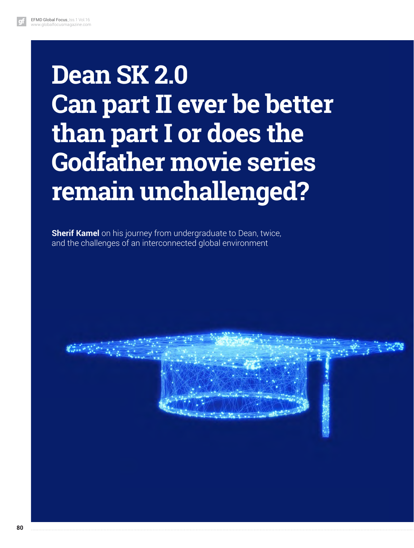# **Dean SK 2.0 Can part II ever be better than part I or does the Godfather movie series remain unchallenged?**

**Sherif Kamel** on his journey from undergraduate to Dean, twice, and the challenges of an interconnected global environment

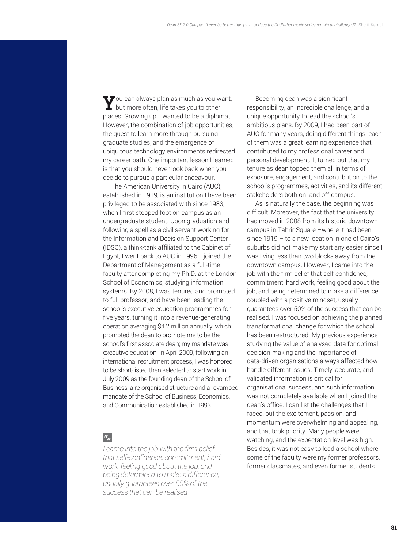You can always plan as much as you want, but more often, life takes you to other places. Growing up, I wanted to be a diplomat. However, the combination of job opportunities, the quest to learn more through pursuing graduate studies, and the emergence of ubiquitous technology environments redirected my career path. One important lesson I learned is that you should never look back when you decide to pursue a particular endeavour.

The American University in Cairo (AUC), established in 1919, is an institution I have been privileged to be associated with since 1983, when I first stepped foot on campus as an undergraduate student. Upon graduation and following a spell as a civil servant working for the Information and Decision Support Center (IDSC), a think-tank affiliated to the Cabinet of Egypt, I went back to AUC in 1996. I joined the Department of Management as a full-time faculty after completing my Ph.D. at the London School of Economics, studying information systems. By 2008, I was tenured and promoted to full professor, and have been leading the school's executive education programmes for five years, turning it into a revenue-generating operation averaging \$4.2 million annually, which prompted the dean to promote me to be the school's first associate dean; my mandate was executive education. In April 2009, following an international recruitment process, I was honored to be short-listed then selected to start work in July 2009 as the founding dean of the School of Business, a re-organised structure and a revamped mandate of the School of Business, Economics, and Communication established in 1993.

#### $a_{jj}$

*I came into the job with the firm belief that self-confidence, commitment, hard work, feeling good about the job, and being determined to make a difference, usually guarantees over 50% of the success that can be realised*

Becoming dean was a significant responsibility, an incredible challenge, and a unique opportunity to lead the school's ambitious plans. By 2009, I had been part of AUC for many years, doing different things; each of them was a great learning experience that contributed to my professional career and personal development. It turned out that my tenure as dean topped them all in terms of exposure, engagement, and contribution to the school's programmes, activities, and its different stakeholders both on- and off-campus.

As is naturally the case, the beginning was difficult. Moreover, the fact that the university had moved in 2008 from its historic downtown campus in Tahrir Square –where it had been since 1919 – to a new location in one of Cairo's suburbs did not make my start any easier since I was living less than two blocks away from the downtown campus. However, I came into the job with the firm belief that self-confidence, commitment, hard work, feeling good about the job, and being determined to make a difference, coupled with a positive mindset, usually guarantees over 50% of the success that can be realised. I was focused on achieving the planned transformational change for which the school has been restructured. My previous experience studying the value of analysed data for optimal decision-making and the importance of data-driven organisations always affected how I handle different issues. Timely, accurate, and validated information is critical for organisational success, and such information was not completely available when I joined the dean's office. I can list the challenges that I faced, but the excitement, passion, and momentum were overwhelming and appealing, and that took priority. Many people were watching, and the expectation level was high. Besides, it was not easy to lead a school where some of the faculty were my former professors, former classmates, and even former students.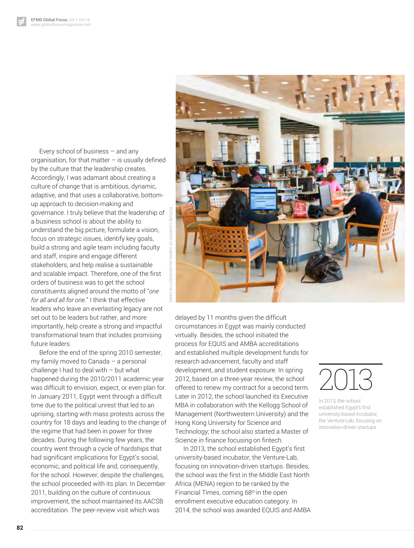Every school of business – and any organisation, for that matter  $-$  is usually defined by the culture that the leadership creates. Accordingly, I was adamant about creating a culture of change that is ambitious, dynamic, adaptive, and that uses a collaborative, bottomup approach to decision-making and governance. I truly believe that the leadership of a business school is about the ability to understand the big picture, formulate a vision, focus on strategic issues, identify key goals, build a strong and agile team including faculty and staff, inspire and engage different stakeholders, and help realise a sustainable and scalable impact. Therefore, one of the first orders of business was to get the school constituents aligned around the motto of "*one for all and all for one.*" I think that effective leaders who leave an everlasting legacy are not set out to be leaders but rather, and more importantly, help create a strong and impactful transformational team that includes promising future leaders.

Before the end of the spring 2010 semester, my family moved to Canada – a personal challenge I had to deal with – but what happened during the 2010/2011 academic year was difficult to envision, expect, or even plan for. In January 2011, Egypt went through a difficult time due to the political unrest that led to an uprising, starting with mass protests across the country for 18 days and leading to the change of the regime that had been in power for three decades. During the following few years, the country went through a cycle of hardships that had significant implications for Egypt's social, economic, and political life and, consequently, for the school. However, despite the challenges, the school proceeded with its plan. In December 2011, building on the culture of continuous improvement, the school maintained its AACSB accreditation. The peer-review visit which was



delayed by 11 months given the difficult circumstances in Egypt was mainly conducted virtually. Besides, the school initiated the process for EQUIS and AMBA accreditations and established multiple development funds for research advancement, faculty and staff development, and student exposure. In spring 2012, based on a three-year review, the school offered to renew my contract for a second term. Later in 2012, the school launched its Executive MBA in collaboration with the Kellogg School of Management (Northwestern University) and the Hong Kong University for Science and Technology; the school also started a Master of Science in finance focusing on fintech.

In 2013, the school established Egypt's first university-based incubator, the Venture-Lab, focusing on innovation-driven startups. Besides, the school was the first in the Middle East North Africa (MENA) region to be ranked by the Financial Times, coming 68th in the open enrollment executive education category. In 2014, the school was awarded EQUIS and AMBA



In 2013, the school established Egypt's frst university-based incubator, the Venture-Lab, focusing on innovation-driven startups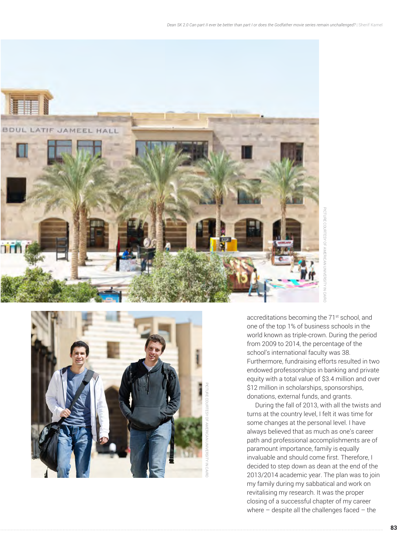



accreditations becoming the 71<sup>st</sup> school, and one of the top 1% of business schools in the world known as triple-crown. During the period from 2009 to 2014, the percentage of the school's international faculty was 38. Furthermore, fundraising efforts resulted in two endowed professorships in banking and private equity with a total value of \$3.4 million and over \$12 million in scholarships, sponsorships, donations, external funds, and grants.

During the fall of 2013, with all the twists and turns at the country level, I felt it was time for some changes at the personal level. I have always believed that as much as one's career path and professional accomplishments are of paramount importance, family is equally invaluable and should come first. Therefore, I decided to step down as dean at the end of the 2013/2014 academic year. The plan was to join my family during my sabbatical and work on revitalising my research. It was the proper closing of a successful chapter of my career where the control of the challenges faced – the pICT and some of the top 1% of business schools in the world known as triple-crown. During the period from 2009 to 2014, the percentage of the school's international faculty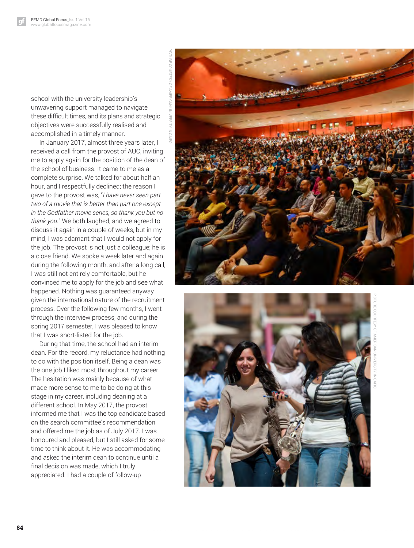school with the university leadership's unwavering support managed to navigate these difficult times, and its plans and strategic objectives were successfully realised and accomplished in a timely manner.

In January 2017, almost three years later, I received a call from the provost of AUC, inviting me to apply again for the position of the dean of the school of business. It came to me as a complete surprise. We talked for about half an hour, and I respectfully declined; the reason I gave to the provost was, "*I have never seen part two of a movie that is better than part one except in the Godfather movie series, so thank you but no thank you.*" We both laughed, and we agreed to discuss it again in a couple of weeks, but in my mind, I was adamant that I would not apply for the job. The provost is not just a colleague; he is a close friend. We spoke a week later and again during the following month, and after a long call, I was still not entirely comfortable, but he convinced me to apply for the job and see what happened. Nothing was guaranteed anyway given the international nature of the recruitment process. Over the following few months, I went through the interview process, and during the spring 2017 semester, I was pleased to know that I was short-listed for the job.

During that time, the school had an interim dean. For the record, my reluctance had nothing to do with the position itself. Being a dean was the one job I liked most throughout my career. The hesitation was mainly because of what made more sense to me to be doing at this stage in my career, including deaning at a different school. In May 2017, the provost informed me that I was the top candidate based on the search committee's recommendation and offered me the job as of July 2017. I was honoured and pleased, but I still asked for some time to think about it. He was accommodating and asked the interim dean to continue until a final decision was made, which I truly appreciated. I had a couple of follow-up

**84**



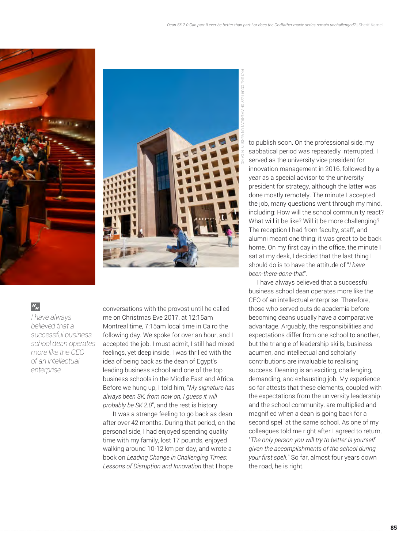



### $a_{ij}$

*I have always believed that a successful business school dean operates more like the CEO of an intellectual enterprise*

conversations with the provost until he called me on Christmas Eve 2017, at 12:15am Montreal time, 7:15am local time in Cairo the following day. We spoke for over an hour, and I accepted the job. I must admit, I still had mixed feelings, yet deep inside, I was thrilled with the idea of being back as the dean of Egypt's leading business school and one of the top business schools in the Middle East and Africa. Before we hung up, I told him, "*My signature has always been SK, from now on, I guess it will probably be SK 2.0*", and the rest is history.

 It was a strange feeling to go back as dean after over 42 months. During that period, on the personal side, I had enjoyed spending quality time with my family, lost 17 pounds, enjoyed walking around 10-12 km per day, and wrote a book on *Leading Change in Challenging Times: Lessons of Disruption and Innovation* that I hope

to publish soon. On the professional side, my sabbatical period was repeatedly interrupted. I served as the university vice president for innovation management in 2016, followed by a year as a special advisor to the university president for strategy, although the latter was done mostly remotely. The minute I accepted the job, many questions went through my mind, including: How will the school community react? What will it be like? Will it be more challenging? The reception I had from faculty, staff, and alumni meant one thing: it was great to be back home. On my first day in the office, the minute I sat at my desk, I decided that the last thing I should do is to have the attitude of "*I have been-there-done-that*".

I have always believed that a successful business school dean operates more like the CEO of an intellectual enterprise. Therefore, those who served outside academia before becoming deans usually have a comparative advantage. Arguably, the responsibilities and expectations differ from one school to another, but the triangle of leadership skills, business acumen, and intellectual and scholarly contributions are invaluable to realising success. Deaning is an exciting, challenging, demanding, and exhausting job. My experience so far attests that these elements, coupled with the expectations from the university leadership and the school community, are multiplied and magnified when a dean is going back for a second spell at the same school. As one of my colleagues told me right after I agreed to return, "*The only person you will try to better is yourself given the accomplishments of the school during your first spell.*" So far, almost four years down the road, he is right.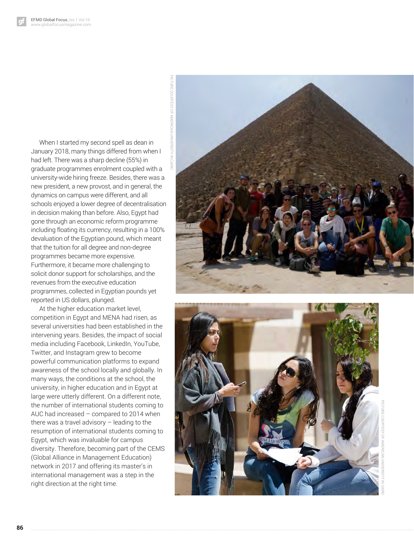When I started my second spell as dean in January 2018, many things differed from when I had left. There was a sharp decline (55%) in graduate programmes enrolment coupled with a university-wide hiring freeze. Besides, there was a new president, a new provost, and in general, the dynamics on campus were different, and all schools enjoyed a lower degree of decentralisation in decision making than before. Also, Egypt had gone through an economic reform programme including floating its currency, resulting in a 100% devaluation of the Egyptian pound, which meant that the tuition for all degree and non-degree programmes became more expensive. Furthermore, it became more challenging to solicit donor support for scholarships, and the revenues from the executive education programmes, collected in Egyptian pounds yet reported in US dollars, plunged.

At the higher education market level, competition in Egypt and MENA had risen, as several universities had been established in the intervening years. Besides, the impact of social media including Facebook, LinkedIn, YouTube, Twitter, and Instagram grew to become powerful communication platforms to expand awareness of the school locally and globally. In many ways, the conditions at the school, the university, in higher education and in Egypt at large were utterly different. On a different note, the number of international students coming to AUC had increased – compared to 2014 when there was a travel advisory – leading to the resumption of international students coming to Egypt, which was invaluable for campus diversity. Therefore, becoming part of the CEMS (Global Alliance in Management Education) network in 2017 and offering its master's in international management was a step in the right direction at the right time.



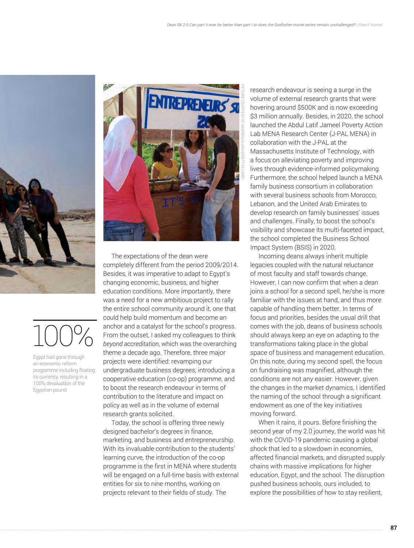

100%

Egypt had gone through an economic reform programme including floating its currency, resulting in a 100% devaluation of the Egyptian pound



The expectations of the dean were completely different from the period 2009/2014. Besides, it was imperative to adapt to Egypt's changing economic, business, and higher education conditions. More importantly, there was a need for a new ambitious project to rally the entire school community around it, one that could help build momentum and become an anchor and a catalyst for the school's progress. From the outset, I asked my colleagues to think *beyond accreditation*, which was the overarching theme a decade ago. Therefore, three major projects were identified: revamping our undergraduate business degrees; introducing a cooperative education (co-op) programme, and to boost the research endeavour in terms of contribution to the literature and impact on policy as well as in the volume of external research grants solicited.

Today, the school is offering three newly designed bachelor's degrees in finance, marketing, and business and entrepreneurship. With its invaluable contribution to the students' learning curve, the introduction of the co-op programme is the first in MENA where students will be engaged on a full-time basis with external entities for six to nine months, working on projects relevant to their fields of study. The

research endeavour is seeing a surge in the volume of external research grants that were hovering around \$500K and is now exceeding \$3 million annually. Besides, in 2020, the school launched the Abdul Latif Jameel Poverty Action Lab MENA Research Center (J-PAL MENA) in collaboration with the J-PAL at the Massachusetts Institute of Technology, with a focus on alleviating poverty and improving lives through evidence-informed policymaking. Furthermore, the school helped launch a MENA family business consortium in collaboration with several business schools from Morocco, Lebanon, and the United Arab Emirates to develop research on family businesses' issues and challenges. Finally, to boost the school's visibility and showcase its multi-faceted impact, the school completed the Business School Impact System (BSIS) in 2020.

Incoming deans always inherit multiple legacies coupled with the natural reluctance of most faculty and staff towards change. However, I can now confirm that when a dean joins a school for a second spell, he/she is more familiar with the issues at hand, and thus more capable of handling them better. In terms of focus and priorities, besides the usual drill that comes with the job, deans of business schools should always keep an eye on adapting to the transformations taking place in the global space of business and management education. On this note, during my second spell, the focus on fundraising was magnified, although the conditions are not any easier. However, given the changes in the market dynamics, I identified the naming of the school through a significant endowment as one of the key initiatives moving forward.

When it rains, it pours. Before finishing the second year of my 2.0 journey, the world was hit with the COVID-19 pandemic causing a global shock that led to a slowdown in economies, affected financial markets, and disrupted supply chains with massive implications for higher education, Egypt, and the school. The disruption pushed business schools, ours included, to explore the possibilities of how to stay resilient,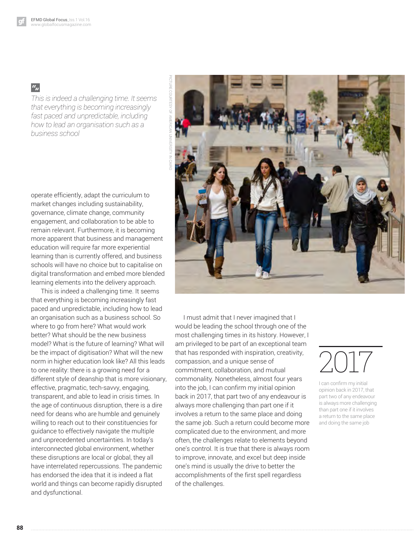## $a_{jj}$

*This is indeed a challenging time. It seems that everything is becoming increasingly fast paced and unpredictable, including how to lead an organisation such as a business school*

operate efficiently, adapt the curriculum to market changes including sustainability, governance, climate change, community engagement, and collaboration to be able to remain relevant. Furthermore, it is becoming more apparent that business and management education will require far more experiential learning than is currently offered, and business schools will have no choice but to capitalise on digital transformation and embed more blended learning elements into the delivery approach.

 This is indeed a challenging time. It seems that everything is becoming increasingly fast paced and unpredictable, including how to lead an organisation such as a business school. So where to go from here? What would work better? What should be the new business model? What is the future of learning? What will be the impact of digitisation? What will the new norm in higher education look like? All this leads to one reality: there is a growing need for a different style of deanship that is more visionary, effective, pragmatic, tech-savvy, engaging, transparent, and able to lead in crisis times. In the age of continuous disruption, there is a dire need for deans who are humble and genuinely willing to reach out to their constituencies for guidance to effectively navigate the multiple and unprecedented uncertainties. In today's interconnected global environment, whether these disruptions are local or global, they all have interrelated repercussions. The pandemic has endorsed the idea that it is indeed a flat world and things can become rapidly disrupted and dysfunctional.



I must admit that I never imagined that I would be leading the school through one of the most challenging times in its history. However, I am privileged to be part of an exceptional team that has responded with inspiration, creativity, compassion, and a unique sense of commitment, collaboration, and mutual commonality. Nonetheless, almost four years into the job, I can confirm my initial opinion back in 2017, that part two of any endeavour is always more challenging than part one if it involves a return to the same place and doing the same job. Such a return could become more complicated due to the environment, and more often, the challenges relate to elements beyond one's control. It is true that there is always room to improve, innovate, and excel but deep inside one's mind is usually the drive to better the accomplishments of the first spell regardless of the challenges.

# 2017

I can confrm my initial opinion back in 2017, that part two of any endeavour is always more challenging than part one if it involves a return to the same place and doing the same job